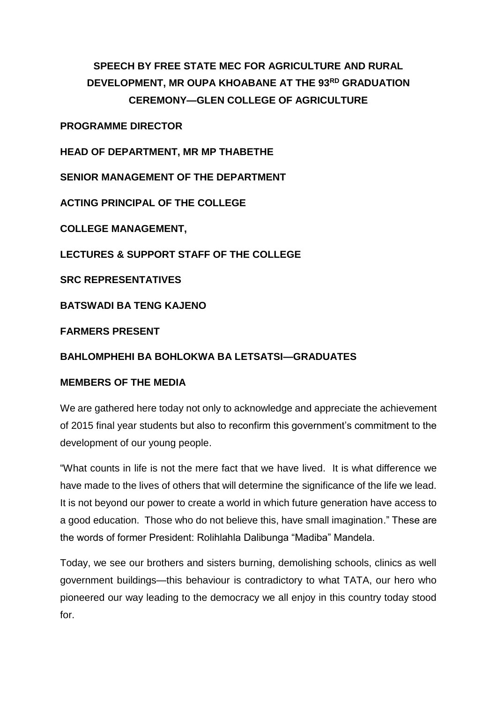## **SPEECH BY FREE STATE MEC FOR AGRICULTURE AND RURAL DEVELOPMENT, MR OUPA KHOABANE AT THE 93RD GRADUATION CEREMONY—GLEN COLLEGE OF AGRICULTURE**

**PROGRAMME DIRECTOR**

**HEAD OF DEPARTMENT, MR MP THABETHE**

**SENIOR MANAGEMENT OF THE DEPARTMENT**

**ACTING PRINCIPAL OF THE COLLEGE**

**COLLEGE MANAGEMENT,**

**LECTURES & SUPPORT STAFF OF THE COLLEGE**

**SRC REPRESENTATIVES**

**BATSWADI BA TENG KAJENO**

**FARMERS PRESENT**

## **BAHLOMPHEHI BA BOHLOKWA BA LETSATSI—GRADUATES**

## **MEMBERS OF THE MEDIA**

We are gathered here today not only to acknowledge and appreciate the achievement of 2015 final year students but also to reconfirm this government's commitment to the development of our young people.

"What counts in life is not the mere fact that we have lived. It is what difference we have made to the lives of others that will determine the significance of the life we lead. It is not beyond our power to create a world in which future generation have access to a good education. Those who do not believe this, have small imagination." These are the words of former President: Rolihlahla Dalibunga "Madiba" Mandela.

Today, we see our brothers and sisters burning, demolishing schools, clinics as well government buildings—this behaviour is contradictory to what TATA, our hero who pioneered our way leading to the democracy we all enjoy in this country today stood for.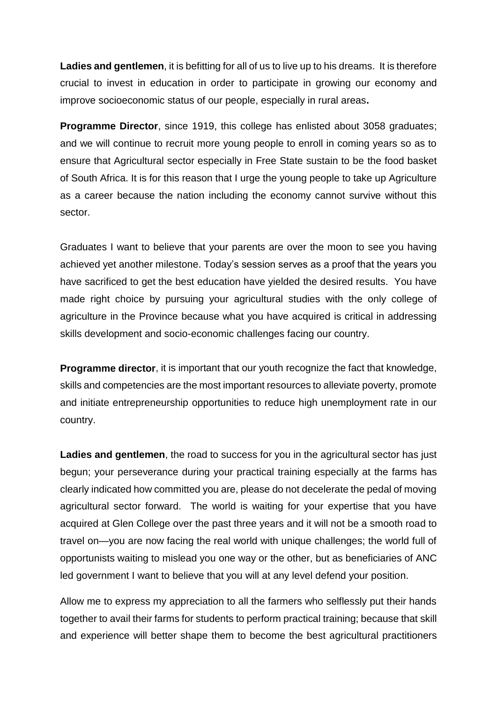**Ladies and gentlemen**, it is befitting for all of us to live up to his dreams. It is therefore crucial to invest in education in order to participate in growing our economy and improve socioeconomic status of our people, especially in rural areas**.**

**Programme Director**, since 1919, this college has enlisted about 3058 graduates; and we will continue to recruit more young people to enroll in coming years so as to ensure that Agricultural sector especially in Free State sustain to be the food basket of South Africa. It is for this reason that I urge the young people to take up Agriculture as a career because the nation including the economy cannot survive without this sector.

Graduates I want to believe that your parents are over the moon to see you having achieved yet another milestone. Today's session serves as a proof that the years you have sacrificed to get the best education have yielded the desired results. You have made right choice by pursuing your agricultural studies with the only college of agriculture in the Province because what you have acquired is critical in addressing skills development and socio-economic challenges facing our country.

**Programme director**, it is important that our youth recognize the fact that knowledge, skills and competencies are the most important resources to alleviate poverty, promote and initiate entrepreneurship opportunities to reduce high unemployment rate in our country.

**Ladies and gentlemen**, the road to success for you in the agricultural sector has just begun; your perseverance during your practical training especially at the farms has clearly indicated how committed you are, please do not decelerate the pedal of moving agricultural sector forward. The world is waiting for your expertise that you have acquired at Glen College over the past three years and it will not be a smooth road to travel on—you are now facing the real world with unique challenges; the world full of opportunists waiting to mislead you one way or the other, but as beneficiaries of ANC led government I want to believe that you will at any level defend your position.

Allow me to express my appreciation to all the farmers who selflessly put their hands together to avail their farms for students to perform practical training; because that skill and experience will better shape them to become the best agricultural practitioners